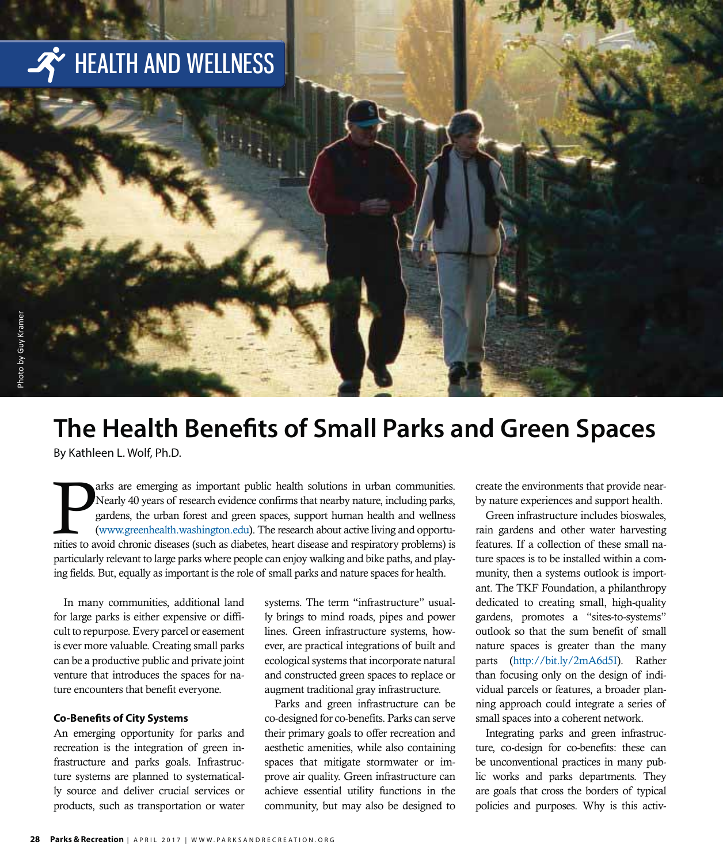

### **The Health Benefits of Small Parks and Green Spaces**

By Kathleen L. Wolf, Ph.D.

The arks are emerging as important public health solutions in urban communities.<br>Nearly 40 years of research evidence confirms that nearby nature, including parks,<br>gardens, the urban forest and green spaces, support human Nearly 40 years of research evidence confirms that nearby nature, including parks, gardens, the urban forest and green spaces, support human health and wellness (www.greenhealth.washington.edu). The research about active living and opportunities to avoid chronic diseases (such as diabetes, heart disease and respiratory problems) is particularly relevant to large parks where people can enjoy walking and bike paths, and playing fields. But, equally as important is the role of small parks and nature spaces for health.

In many communities, additional land for large parks is either expensive or difficult to repurpose. Every parcel or easement is ever more valuable. Creating small parks can be a productive public and private joint venture that introduces the spaces for nature encounters that benefit everyone.

#### **Co-Benefits of City Systems**

An emerging opportunity for parks and recreation is the integration of green infrastructure and parks goals. Infrastructure systems are planned to systematically source and deliver crucial services or products, such as transportation or water systems. The term "infrastructure" usually brings to mind roads, pipes and power lines. Green infrastructure systems, however, are practical integrations of built and ecological systems that incorporate natural and constructed green spaces to replace or augment traditional gray infrastructure.

Parks and green infrastructure can be co-designed for co-benefits. Parks can serve their primary goals to offer recreation and aesthetic amenities, while also containing spaces that mitigate stormwater or improve air quality. Green infrastructure can achieve essential utility functions in the community, but may also be designed to

create the environments that provide nearby nature experiences and support health.

Green infrastructure includes bioswales, rain gardens and other water harvesting features. If a collection of these small nature spaces is to be installed within a community, then a systems outlook is important. The TKF Foundation, a philanthropy dedicated to creating small, high-quality gardens, promotes a "sites-to-systems" outlook so that the sum benefit of small nature spaces is greater than the many parts (http://bit.ly/2mA6d5I). Rather than focusing only on the design of individual parcels or features, a broader planning approach could integrate a series of small spaces into a coherent network.

Integrating parks and green infrastructure, co-design for co-benefits: these can be unconventional practices in many public works and parks departments. They are goals that cross the borders of typical policies and purposes. Why is this activ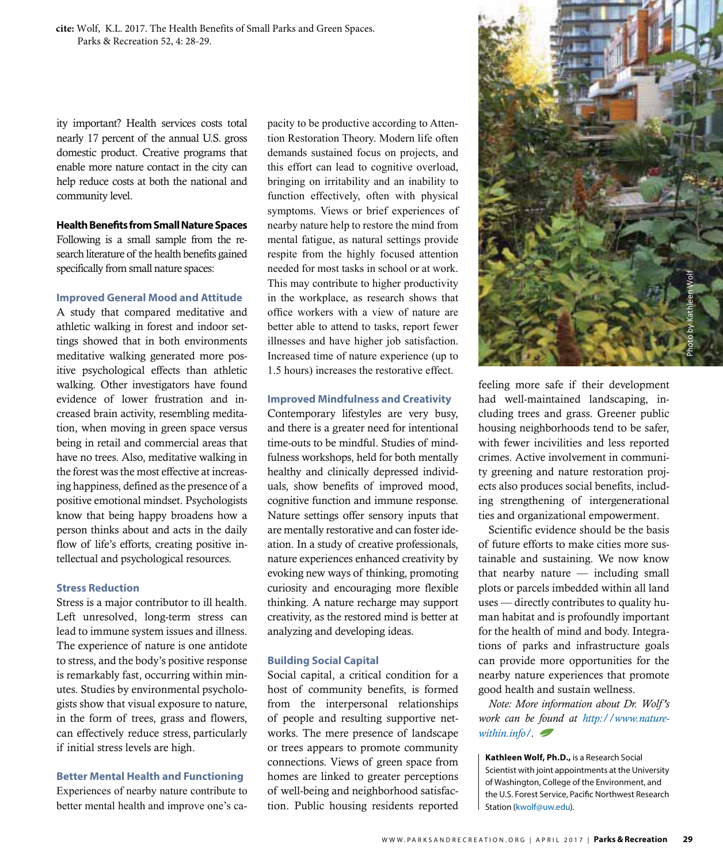**cite:** Wolf, K.L. 2017. The Health Benefits of Small Parks and Green Spaces. Parks & Recreation 52, 4: 28-29.

ity important? Health services costs total nearly 17 percent of the annual U.S. gross domestic product. Creative programs that enable more nature contact in the city can help reduce costs at both the national and community level.

#### **Health Benefits from Small Nature Spaces**

Following is a small sample from the research literature of the health benefits gained specifically from small nature spaces:

#### **Improved General Mood and Attitude**

A study that compared meditative and athletic walking in forest and indoor settings showed that in both environments meditative walking generated more positive psychological effects than athletic walking. Other investigators have found evidence of lower frustration and increased brain activity, resembling meditation, when moving in green space versus being in retail and commercial areas that have no trees. Also, meditative walking in the forest was the most effective at increasing happiness, defined as the presence of a positive emotional mindset. Psychologists know that being happy broadens how a person thinks about and acts in the daily flow of life's efforts, creating positive intellectual and psychological resources.

#### **Stress Reduction**

Stress is a major contributor to ill health. Left unresolved, long-term stress can lead to immune system issues and illness. The experience of nature is one antidote to stress, and the body's positive response is remarkably fast, occurring within minutes. Studies by environmental psychologists show that visual exposure to nature, in the form of trees, grass and flowers, can effectively reduce stress, particularly if initial stress levels are high.

#### **Better Mental Health and Functioning**

Experiences of nearby nature contribute to better mental health and improve one's capacity to be productive according to Attention Restoration Theory. Modern life often demands sustained focus on projects, and this effort can lead to cognitive overload, bringing on irritability and an inability to function effectively, often with physical symptoms. Views or brief experiences of nearby nature help to restore the mind from mental fatigue, as natural settings provide respite from the highly focused attention needed for most tasks in school or at work. This may contribute to higher productivity in the workplace, as research shows that office workers with a view of nature are better able to attend to tasks, report fewer illnesses and have higher job satisfaction. Increased time of nature experience (up to 1.5 hours) increases the restorative effect.

#### **Improved Mindfulness and Creativity**

Contemporary lifestyles are very busy, and there is a greater need for intentional time-outs to be mindful. Studies of mindfulness workshops, held for both mentally healthy and clinically depressed individuals, show benefits of improved mood, cognitive function and immune response. Nature settings offer sensory inputs that are mentally restorative and can foster ideation. In a study of creative professionals, nature experiences enhanced creativity by evoking new ways of thinking, promoting curiosity and encouraging more flexible thinking. A nature recharge may support creativity, as the restored mind is better at analyzing and developing ideas.

#### **Building Social Capital**

Social capital, a critical condition for a host of community benefits, is formed from the interpersonal relationships of people and resulting supportive networks. The mere presence of landscape or trees appears to promote community connections. Views of green space from homes are linked to greater perceptions of well-being and neighborhood satisfaction. Public housing residents reported



feeling more safe if their development had well-maintained landscaping, including trees and grass. Greener public housing neighborhoods tend to be safer, with fewer incivilities and less reported crimes. Active involvement in community greening and nature restoration projects also produces social benefits, including strengthening of intergenerational ties and organizational empowerment.

Scientific evidence should be the basis of future efforts to make cities more sustainable and sustaining. We now know that nearby nature — including small plots or parcels imbedded within all land uses — directly contributes to quality human habitat and is profoundly important for the health of mind and body. Integrations of parks and infrastructure goals can provide more opportunities for the nearby nature experiences that promote good health and sustain wellness.

*Note: More information about Dr. Wolf 's work can be found at http://www.naturewithin.info/.* 

**Kathleen Wolf, Ph.D.,** is a Research Social Scientist with joint appointments at the University of Washington, College of the Environment, and the U.S. Forest Service, Pacific Northwest Research Station (kwolf@uw.edu).